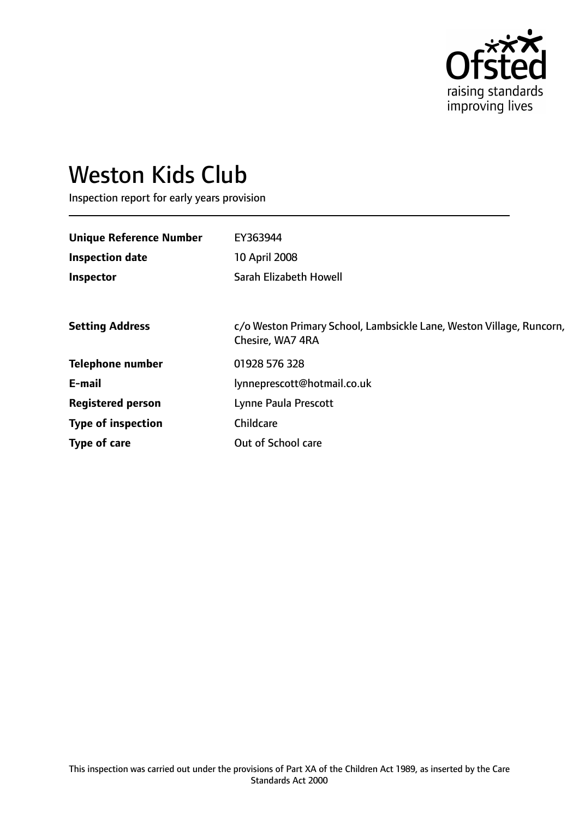

# Weston Kids Club

Inspection report for early years provision

| <b>Unique Reference Number</b> | EY363944                                                                                 |
|--------------------------------|------------------------------------------------------------------------------------------|
| <b>Inspection date</b>         | 10 April 2008                                                                            |
| Inspector                      | Sarah Elizabeth Howell                                                                   |
|                                |                                                                                          |
| <b>Setting Address</b>         | c/o Weston Primary School, Lambsickle Lane, Weston Village, Runcorn,<br>Chesire, WA7 4RA |
| <b>Telephone number</b>        | 01928 576 328                                                                            |
| E-mail                         | lynneprescott@hotmail.co.uk                                                              |
| <b>Registered person</b>       | Lynne Paula Prescott                                                                     |
| <b>Type of inspection</b>      | Childcare                                                                                |
| Type of care                   | Out of School care                                                                       |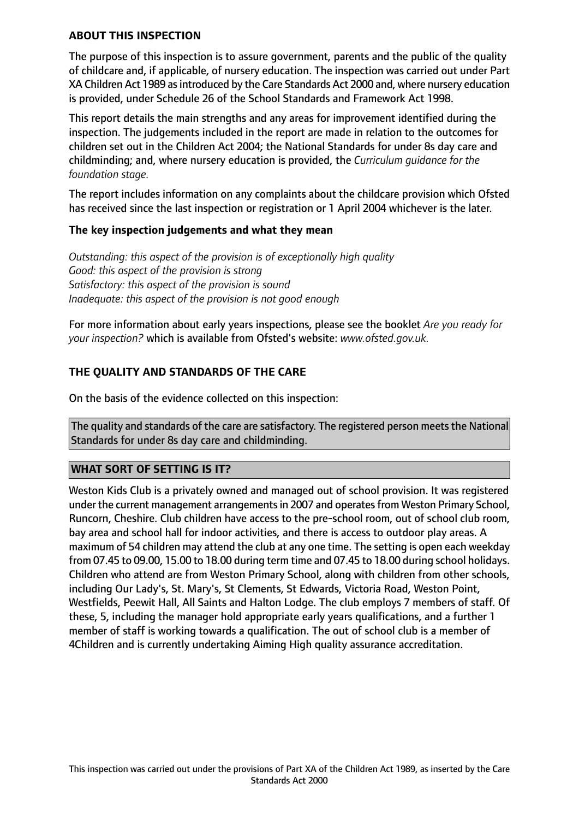#### **ABOUT THIS INSPECTION**

The purpose of this inspection is to assure government, parents and the public of the quality of childcare and, if applicable, of nursery education. The inspection was carried out under Part XA Children Act 1989 as introduced by the Care Standards Act 2000 and, where nursery education is provided, under Schedule 26 of the School Standards and Framework Act 1998.

This report details the main strengths and any areas for improvement identified during the inspection. The judgements included in the report are made in relation to the outcomes for children set out in the Children Act 2004; the National Standards for under 8s day care and childminding; and, where nursery education is provided, the *Curriculum guidance for the foundation stage.*

The report includes information on any complaints about the childcare provision which Ofsted has received since the last inspection or registration or 1 April 2004 whichever is the later.

#### **The key inspection judgements and what they mean**

*Outstanding: this aspect of the provision is of exceptionally high quality Good: this aspect of the provision is strong Satisfactory: this aspect of the provision is sound Inadequate: this aspect of the provision is not good enough*

For more information about early years inspections, please see the booklet *Are you ready for your inspection?* which is available from Ofsted's website: *www.ofsted.gov.uk.*

#### **THE QUALITY AND STANDARDS OF THE CARE**

On the basis of the evidence collected on this inspection:

The quality and standards of the care are satisfactory. The registered person meets the National Standards for under 8s day care and childminding.

#### **WHAT SORT OF SETTING IS IT?**

Weston Kids Club is a privately owned and managed out of school provision. It was registered under the current management arrangements in 2007 and operates from Weston Primary School, Runcorn, Cheshire. Club children have access to the pre-school room, out of school club room, bay area and school hall for indoor activities, and there is access to outdoor play areas. A maximum of 54 children may attend the club at any one time. The setting is open each weekday from 07.45 to 09.00, 15.00 to 18.00 during term time and 07.45 to 18.00 during school holidays. Children who attend are from Weston Primary School, along with children from other schools, including Our Lady's, St. Mary's, St Clements, St Edwards, Victoria Road, Weston Point, Westfields, Peewit Hall, All Saints and Halton Lodge. The club employs 7 members of staff. Of these, 5, including the manager hold appropriate early years qualifications, and a further 1 member of staff is working towards a qualification. The out of school club is a member of 4Children and is currently undertaking Aiming High quality assurance accreditation.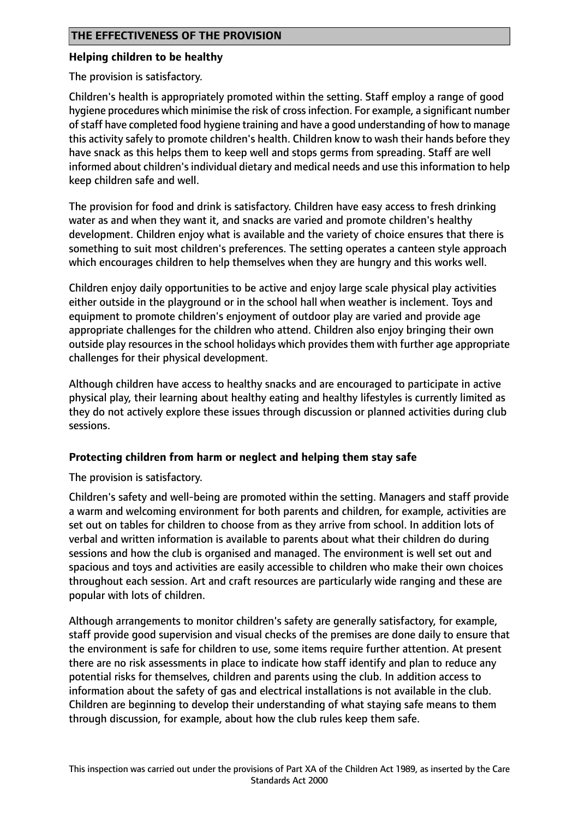#### **Helping children to be healthy**

The provision is satisfactory.

Children's health is appropriately promoted within the setting. Staff employ a range of good hygiene procedures which minimise the risk of crossinfection. For example, a significant number ofstaff have completed food hygiene training and have a good understanding of how to manage this activity safely to promote children's health. Children know to wash their hands before they have snack as this helps them to keep well and stops germs from spreading. Staff are well informed about children's individual dietary and medical needs and use this information to help keep children safe and well.

The provision for food and drink is satisfactory. Children have easy access to fresh drinking water as and when they want it, and snacks are varied and promote children's healthy development. Children enjoy what is available and the variety of choice ensures that there is something to suit most children's preferences. The setting operates a canteen style approach which encourages children to help themselves when they are hungry and this works well.

Children enjoy daily opportunities to be active and enjoy large scale physical play activities either outside in the playground or in the school hall when weather is inclement. Toys and equipment to promote children's enjoyment of outdoor play are varied and provide age appropriate challenges for the children who attend. Children also enjoy bringing their own outside play resources in the school holidays which provides them with further age appropriate challenges for their physical development.

Although children have access to healthy snacks and are encouraged to participate in active physical play, their learning about healthy eating and healthy lifestyles is currently limited as they do not actively explore these issues through discussion or planned activities during club sessions.

## **Protecting children from harm or neglect and helping them stay safe**

The provision is satisfactory.

Children's safety and well-being are promoted within the setting. Managers and staff provide a warm and welcoming environment for both parents and children, for example, activities are set out on tables for children to choose from as they arrive from school. In addition lots of verbal and written information is available to parents about what their children do during sessions and how the club is organised and managed. The environment is well set out and spacious and toys and activities are easily accessible to children who make their own choices throughout each session. Art and craft resources are particularly wide ranging and these are popular with lots of children.

Although arrangements to monitor children's safety are generally satisfactory, for example, staff provide good supervision and visual checks of the premises are done daily to ensure that the environment is safe for children to use, some items require further attention. At present there are no risk assessments in place to indicate how staff identify and plan to reduce any potential risks for themselves, children and parents using the club. In addition access to information about the safety of gas and electrical installations is not available in the club. Children are beginning to develop their understanding of what staying safe means to them through discussion, for example, about how the club rules keep them safe.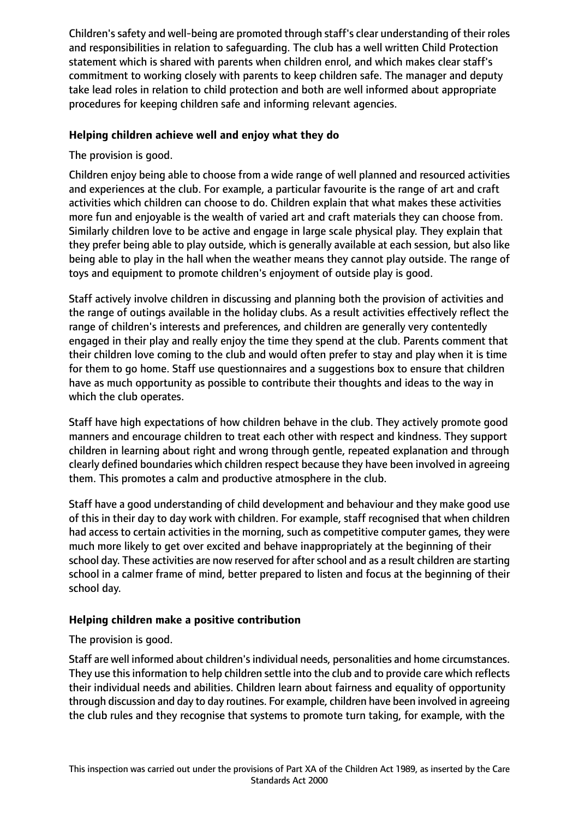Children's safety and well-being are promoted through staff's clear understanding of their roles and responsibilities in relation to safeguarding. The club has a well written Child Protection statement which is shared with parents when children enrol, and which makes clear staff's commitment to working closely with parents to keep children safe. The manager and deputy take lead roles in relation to child protection and both are well informed about appropriate procedures for keeping children safe and informing relevant agencies.

## **Helping children achieve well and enjoy what they do**

The provision is good.

Children enjoy being able to choose from a wide range of well planned and resourced activities and experiences at the club. For example, a particular favourite is the range of art and craft activities which children can choose to do. Children explain that what makes these activities more fun and enjoyable is the wealth of varied art and craft materials they can choose from. Similarly children love to be active and engage in large scale physical play. They explain that they prefer being able to play outside, which is generally available at each session, but also like being able to play in the hall when the weather means they cannot play outside. The range of toys and equipment to promote children's enjoyment of outside play is good.

Staff actively involve children in discussing and planning both the provision of activities and the range of outings available in the holiday clubs. As a result activities effectively reflect the range of children's interests and preferences, and children are generally very contentedly engaged in their play and really enjoy the time they spend at the club. Parents comment that their children love coming to the club and would often prefer to stay and play when it is time for them to go home. Staff use questionnaires and a suggestions box to ensure that children have as much opportunity as possible to contribute their thoughts and ideas to the way in which the club operates.

Staff have high expectations of how children behave in the club. They actively promote good manners and encourage children to treat each other with respect and kindness. They support children in learning about right and wrong through gentle, repeated explanation and through clearly defined boundaries which children respect because they have been involved in agreeing them. This promotes a calm and productive atmosphere in the club.

Staff have a good understanding of child development and behaviour and they make good use of this in their day to day work with children. For example, staff recognised that when children had access to certain activities in the morning, such as competitive computer games, they were much more likely to get over excited and behave inappropriately at the beginning of their school day. These activities are now reserved for after school and as a result children are starting school in a calmer frame of mind, better prepared to listen and focus at the beginning of their school day.

## **Helping children make a positive contribution**

The provision is good.

Staff are well informed about children's individual needs, personalities and home circumstances. They use this information to help children settle into the club and to provide care which reflects their individual needs and abilities. Children learn about fairness and equality of opportunity through discussion and day to day routines. For example, children have been involved in agreeing the club rules and they recognise that systems to promote turn taking, for example, with the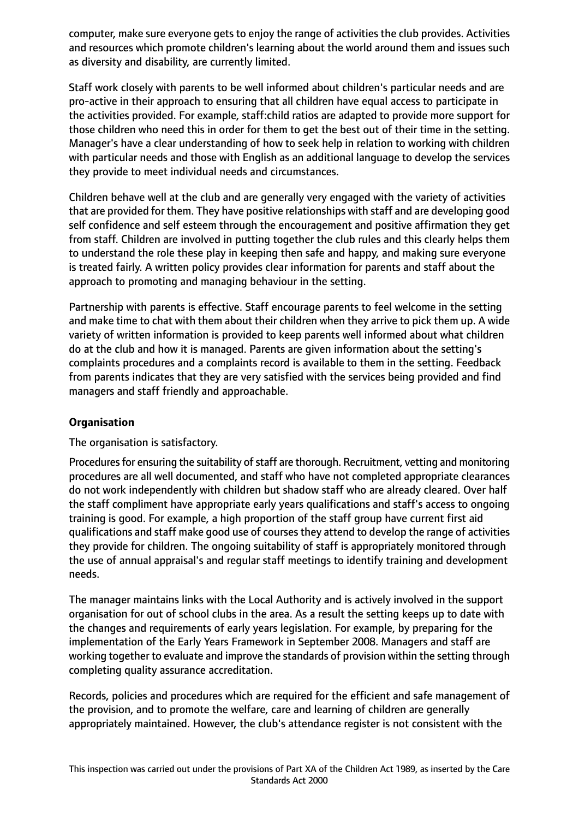computer, make sure everyone gets to enjoy the range of activities the club provides. Activities and resources which promote children's learning about the world around them and issues such as diversity and disability, are currently limited.

Staff work closely with parents to be well informed about children's particular needs and are pro-active in their approach to ensuring that all children have equal access to participate in the activities provided. For example, staff:child ratios are adapted to provide more support for those children who need this in order for them to get the best out of their time in the setting. Manager's have a clear understanding of how to seek help in relation to working with children with particular needs and those with English as an additional language to develop the services they provide to meet individual needs and circumstances.

Children behave well at the club and are generally very engaged with the variety of activities that are provided for them. They have positive relationships with staff and are developing good self confidence and self esteem through the encouragement and positive affirmation they get from staff. Children are involved in putting together the club rules and this clearly helps them to understand the role these play in keeping then safe and happy, and making sure everyone is treated fairly. A written policy provides clear information for parents and staff about the approach to promoting and managing behaviour in the setting.

Partnership with parents is effective. Staff encourage parents to feel welcome in the setting and make time to chat with them about their children when they arrive to pick them up. A wide variety of written information is provided to keep parents well informed about what children do at the club and how it is managed. Parents are given information about the setting's complaints procedures and a complaints record is available to them in the setting. Feedback from parents indicates that they are very satisfied with the services being provided and find managers and staff friendly and approachable.

## **Organisation**

The organisation is satisfactory.

Procedures for ensuring the suitability of staff are thorough. Recruitment, vetting and monitoring procedures are all well documented, and staff who have not completed appropriate clearances do not work independently with children but shadow staff who are already cleared. Over half the staff compliment have appropriate early years qualifications and staff's access to ongoing training is good. For example, a high proportion of the staff group have current first aid qualifications and staff make good use of courses they attend to develop the range of activities they provide for children. The ongoing suitability of staff is appropriately monitored through the use of annual appraisal's and regular staff meetings to identify training and development needs.

The manager maintains links with the Local Authority and is actively involved in the support organisation for out of school clubs in the area. As a result the setting keeps up to date with the changes and requirements of early years legislation. For example, by preparing for the implementation of the Early Years Framework in September 2008. Managers and staff are working together to evaluate and improve the standards of provision within the setting through completing quality assurance accreditation.

Records, policies and procedures which are required for the efficient and safe management of the provision, and to promote the welfare, care and learning of children are generally appropriately maintained. However, the club's attendance register is not consistent with the